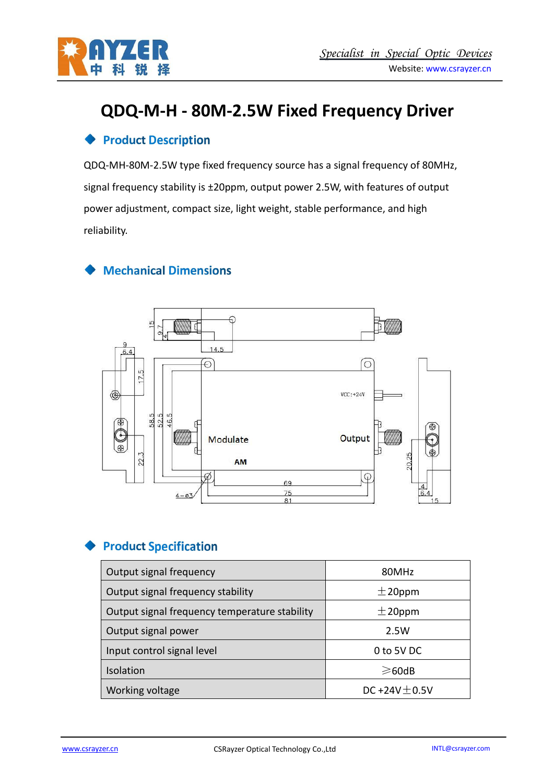

# **QDQ-M-H - 80M-2.5W Fixed Frequency Driver**

#### **Product Description**

QDQ-MH-80M-2.5W type fixed frequency source has a signal frequency of 80MHz, signal frequency stability is ±20ppm, output power 2.5W, with features of output power adjustment, compact size, light weight, stable performance, and high reliability.

## **Mechanical Dimensions**



## **Product Specification**

| Output signal frequency                       | 80MHz             |
|-----------------------------------------------|-------------------|
| Output signal frequency stability             | $\pm$ 20ppm       |
| Output signal frequency temperature stability | $\pm$ 20ppm       |
| Output signal power                           | 2.5W              |
| Input control signal level                    | 0 to 5V DC        |
| Isolation                                     | $\geqslant$ 60dB  |
| Working voltage                               | DC+24V $\pm$ 0.5V |